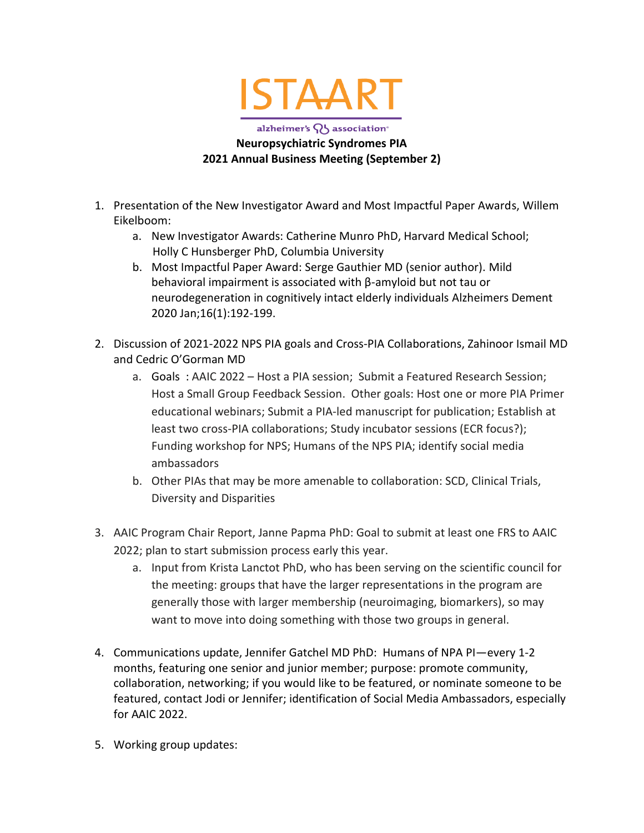

## alzheimer's QJ association<sup>®</sup> **Neuropsychiatric Syndromes PIA 2021 Annual Business Meeting (September 2)**

- 1. Presentation of the New Investigator Award and Most Impactful Paper Awards, Willem Eikelboom:
	- a. New Investigator Awards: Catherine Munro PhD, Harvard Medical School; Holly C Hunsberger PhD, Columbia University
	- b. Most Impactful Paper Award: Serge Gauthier MD (senior author). Mild behavioral impairment is associated with β-amyloid but not tau or neurodegeneration in cognitively intact elderly individuals Alzheimers Dement 2020 Jan;16(1):192-199.
- 2. Discussion of 2021-2022 NPS PIA goals and Cross-PIA Collaborations, Zahinoor Ismail MD and Cedric O'Gorman MD
	- a. Goals : AAIC 2022 Host a PIA session; Submit a Featured Research Session; Host a Small Group Feedback Session. Other goals: Host one or more PIA Primer educational webinars; Submit a PIA-led manuscript for publication; Establish at least two cross-PIA collaborations; Study incubator sessions (ECR focus?); Funding workshop for NPS; Humans of the NPS PIA; identify social media ambassadors
	- b. Other PIAs that may be more amenable to collaboration: SCD, Clinical Trials, Diversity and Disparities
- 3. AAIC Program Chair Report, Janne Papma PhD: Goal to submit at least one FRS to AAIC 2022; plan to start submission process early this year.
	- a. Input from Krista Lanctot PhD, who has been serving on the scientific council for the meeting: groups that have the larger representations in the program are generally those with larger membership (neuroimaging, biomarkers), so may want to move into doing something with those two groups in general.
- 4. Communications update, Jennifer Gatchel MD PhD: Humans of NPA PI—every 1-2 months, featuring one senior and junior member; purpose: promote community, collaboration, networking; if you would like to be featured, or nominate someone to be featured, contact Jodi or Jennifer; identification of Social Media Ambassadors, especially for AAIC 2022.
- 5. Working group updates: